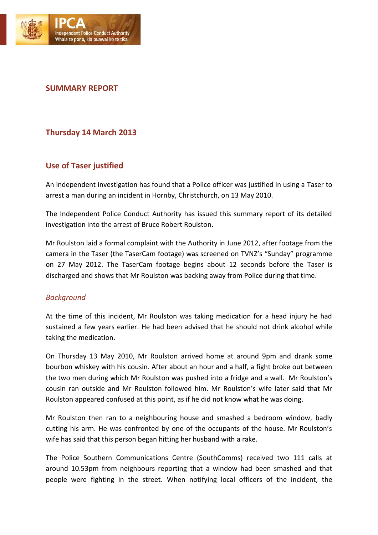

# **SUMMARY REPORT**

## **Thursday 14 March 2013**

## **Use of Taser justified**

An independent investigation has found that a Police officer was justified in using a Taser to arrest a man during an incident in Hornby, Christchurch, on 13 May 2010.

The Independent Police Conduct Authority has issued this summary report of its detailed investigation into the arrest of Bruce Robert Roulston.

Mr Roulston laid a formal complaint with the Authority in June 2012, after footage from the camera in the Taser (the TaserCam footage) was screened on TVNZ's "Sunday" programme on 27 May 2012. The TaserCam footage begins about 12 seconds before the Taser is discharged and shows that Mr Roulston was backing away from Police during that time.

#### *Background*

At the time of this incident, Mr Roulston was taking medication for a head injury he had sustained a few years earlier. He had been advised that he should not drink alcohol while taking the medication.

On Thursday 13 May 2010, Mr Roulston arrived home at around 9pm and drank some bourbon whiskey with his cousin. After about an hour and a half, a fight broke out between the two men during which Mr Roulston was pushed into a fridge and a wall. Mr Roulston's cousin ran outside and Mr Roulston followed him. Mr Roulston's wife later said that Mr Roulston appeared confused at this point, as if he did not know what he was doing.

Mr Roulston then ran to a neighbouring house and smashed a bedroom window, badly cutting his arm. He was confronted by one of the occupants of the house. Mr Roulston's wife has said that this person began hitting her husband with a rake.

The Police Southern Communications Centre (SouthComms) received two 111 calls at around 10.53pm from neighbours reporting that a window had been smashed and that people were fighting in the street. When notifying local officers of the incident, the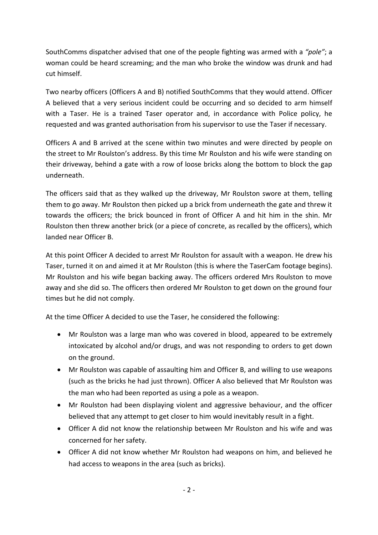SouthComms dispatcher advised that one of the people fighting was armed with a *"pole"*; a woman could be heard screaming; and the man who broke the window was drunk and had cut himself.

Two nearby officers (Officers A and B) notified SouthComms that they would attend. Officer A believed that a very serious incident could be occurring and so decided to arm himself with a Taser. He is a trained Taser operator and, in accordance with Police policy, he requested and was granted authorisation from his supervisor to use the Taser if necessary.

Officers A and B arrived at the scene within two minutes and were directed by people on the street to Mr Roulston's address. By this time Mr Roulston and his wife were standing on their driveway, behind a gate with a row of loose bricks along the bottom to block the gap underneath.

The officers said that as they walked up the driveway, Mr Roulston swore at them, telling them to go away. Mr Roulston then picked up a brick from underneath the gate and threw it towards the officers; the brick bounced in front of Officer A and hit him in the shin. Mr Roulston then threw another brick (or a piece of concrete, as recalled by the officers), which landed near Officer B.

At this point Officer A decided to arrest Mr Roulston for assault with a weapon. He drew his Taser, turned it on and aimed it at Mr Roulston (this is where the TaserCam footage begins). Mr Roulston and his wife began backing away. The officers ordered Mrs Roulston to move away and she did so. The officers then ordered Mr Roulston to get down on the ground four times but he did not comply.

At the time Officer A decided to use the Taser, he considered the following:

- Mr Roulston was a large man who was covered in blood, appeared to be extremely intoxicated by alcohol and/or drugs, and was not responding to orders to get down on the ground.
- Mr Roulston was capable of assaulting him and Officer B, and willing to use weapons (such as the bricks he had just thrown). Officer A also believed that Mr Roulston was the man who had been reported as using a pole as a weapon.
- Mr Roulston had been displaying violent and aggressive behaviour, and the officer believed that any attempt to get closer to him would inevitably result in a fight.
- Officer A did not know the relationship between Mr Roulston and his wife and was concerned for her safety.
- Officer A did not know whether Mr Roulston had weapons on him, and believed he had access to weapons in the area (such as bricks).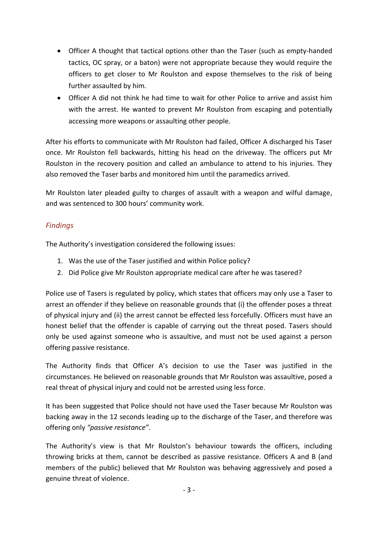- Officer A thought that tactical options other than the Taser (such as empty-handed tactics, OC spray, or a baton) were not appropriate because they would require the officers to get closer to Mr Roulston and expose themselves to the risk of being further assaulted by him.
- Officer A did not think he had time to wait for other Police to arrive and assist him with the arrest. He wanted to prevent Mr Roulston from escaping and potentially accessing more weapons or assaulting other people.

After his efforts to communicate with Mr Roulston had failed, Officer A discharged his Taser once. Mr Roulston fell backwards, hitting his head on the driveway. The officers put Mr Roulston in the recovery position and called an ambulance to attend to his injuries. They also removed the Taser barbs and monitored him until the paramedics arrived.

Mr Roulston later pleaded guilty to charges of assault with a weapon and wilful damage, and was sentenced to 300 hours' community work.

## *Findings*

The Authority's investigation considered the following issues:

- 1. Was the use of the Taser justified and within Police policy?
- 2. Did Police give Mr Roulston appropriate medical care after he was tasered?

Police use of Tasers is regulated by policy, which states that officers may only use a Taser to arrest an offender if they believe on reasonable grounds that (i) the offender poses a threat of physical injury and (ii) the arrest cannot be effected less forcefully. Officers must have an honest belief that the offender is capable of carrying out the threat posed. Tasers should only be used against someone who is assaultive, and must not be used against a person offering passive resistance.

The Authority finds that Officer A's decision to use the Taser was justified in the circumstances. He believed on reasonable grounds that Mr Roulston was assaultive, posed a real threat of physical injury and could not be arrested using less force.

It has been suggested that Police should not have used the Taser because Mr Roulston was backing away in the 12 seconds leading up to the discharge of the Taser, and therefore was offering only *"passive resistance"*.

The Authority's view is that Mr Roulston's behaviour towards the officers, including throwing bricks at them, cannot be described as passive resistance. Officers A and B (and members of the public) believed that Mr Roulston was behaving aggressively and posed a genuine threat of violence.